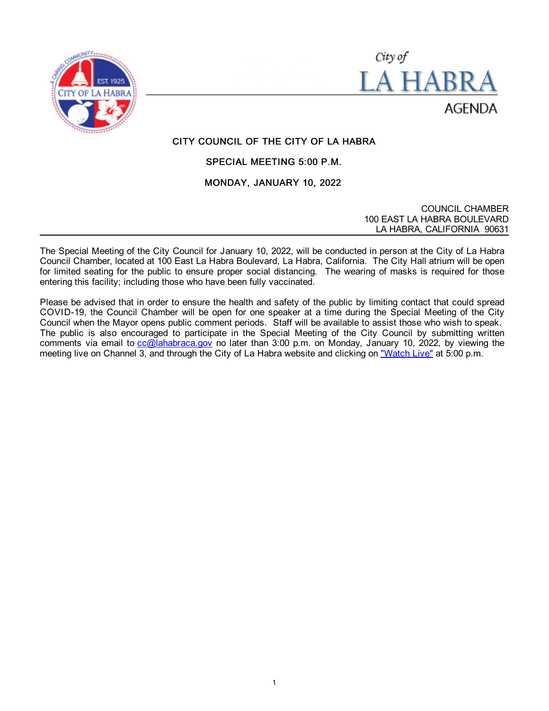



# CITY COUNCIL OF THE CITY OF LA HABRA

## SPECIAL MEETING 5:00 P.M.

#### MONDAY, JANUARY 10, 2022

COUNCIL CHAMBER 100 EAST LA HABRA BOULEVARD LA HABRA, CALIFORNIA 90631

The Special Meeting of the City Council for January 10, 2022, will be conducted in person at the City of La Habra Council Chamber, located at 100 East La Habra Boulevard, La Habra, California. The City Hall atrium will be open for limited seating for the public to ensure proper social distancing. The wearing of masks is required for those entering this facility; including those who have been fully vaccinated.

Please be advised that in order to ensure the health and safety of the public by limiting contact that could spread COVID-19, the Council Chamber will be open for one speaker at a time during the Special Meeting of the City Council when the Mayor opens public comment periods. Staff will be available to assist those who wish to speak. The public is also encouraged to participate in the Special Meeting of the City Council by submitting written comments via email to [cc@lahabraca.gov](mailto:cc@lahabraca.gov) no later than 3:00 p.m. on Monday, January 10, 2022, by viewing the meeting live on Channel 3, and through the City of La Habra website and clicking on ["Watch Live"](http://www.lahabraca.gov/356/Archived-Council-Videos) at 5:00 p.m.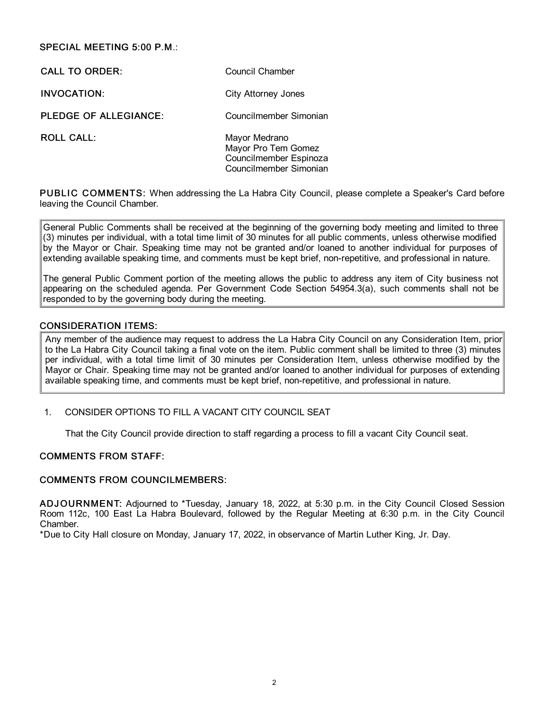## SPECIAL MEETING 5:00 P.M.:

CALL TO ORDER: Council Chamber INVOCATION: City Attorney Jones PLEDGE OF ALLEGIANCE: Councilmember Simonian ROLL CALL: Mayor Medrano Mayor Pro Tem Gomez

Councilmember Espinoza Councilmember Simonian

PUBLIC COMMENTS: When addressing the La Habra City Council, please complete a Speaker's Card before leaving the Council Chamber.

General Public Comments shall be received at the beginning of the governing body meeting and limited to three (3) minutes per individual, with a total time limit of 30 minutes for all public comments, unless otherwise modified by the Mayor or Chair. Speaking time may not be granted and/or loaned to another individual for purposes of extending available speaking time, and comments must be kept brief, non-repetitive, and professional in nature.

The general Public Comment portion of the meeting allows the public to address any item of City business not appearing on the scheduled agenda. Per Government Code Section 54954.3(a), such comments shall not be responded to by the governing body during the meeting.

## CONSIDERATION ITEMS:

Any member of the audience may request to address the La Habra City Council on any Consideration Item, prior to the La Habra City Council taking a final vote on the item. Public comment shall be limited to three (3) minutes per individual, with a total time limit of 30 minutes per Consideration Item, unless otherwise modified by the Mayor or Chair. Speaking time may not be granted and/or loaned to another individual for purposes of extending available speaking time, and comments must be kept brief, non-repetitive, and professional in nature.

1. CONSIDER OPTIONS TO FILL A VACANT CITY COUNCIL SEAT

That the City Council provide direction to staff regarding a process to fill a vacant City Council seat.

#### COMMENTS FROM STAFF:

#### COMMENTS FROM COUNCILMEMBERS:

ADJ OURNMENT: Adjourned to \*Tuesday, January 18, 2022, at 5:30 p.m. in the City Council Closed Session Room 112c, 100 East La Habra Boulevard, followed by the Regular Meeting at 6:30 p.m. in the City Council Chamber.

\*Due to City Hall closure on Monday, January 17, 2022, in observance of Martin Luther King, Jr. Day.